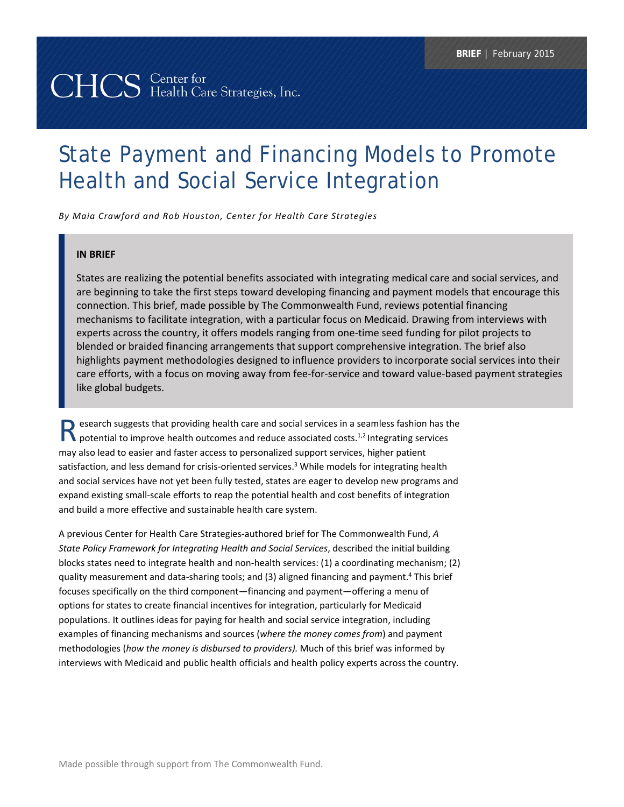# CHCS Center for<br>CHCS Health Care Strategies, Inc.

# State Payment and Financing Models to Promote Health and Social Service Integration

*By Maia Crawford and Rob Houston, Center for Health Care Strategies*

## **IN BRIEF**

States are realizing the potential benefits associated with integrating medical care and social services, and are beginning to take the first steps toward developing financing and payment models that encourage this connection. This brief, made possible by The Commonwealth Fund, reviews potential financing mechanisms to facilitate integration, with a particular focus on Medicaid. Drawing from interviews with experts across the country, it offers models ranging from one-time seed funding for pilot projects to blended or braided financing arrangements that support comprehensive integration. The brief also highlights payment methodologies designed to influence providers to incorporate social services into their care efforts, with a focus on moving away from fee‐for‐service and toward value‐based payment strategies like global budgets.

esearch suggests that providing health care and social services in a seamless fashion has the **Potential to improve health outcomes and reduce associated costs.**<sup>1,2</sup> Integrating services in a seamless fashion has the potential to improve health outcomes and reduce associated costs.<sup>1,2</sup> Integrating services may also lead to easier and faster access to personalized support services, higher patient satisfaction, and less demand for crisis-oriented services.<sup>3</sup> While models for integrating health and social services have not yet been fully tested, states are eager to develop new programs and expand existing small‐scale efforts to reap the potential health and cost benefits of integration and build a more effective and sustainable health care system.

A previous Center for Health Care Strategies‐authored brief for The Commonwealth Fund, *A State Policy Framework for Integrating Health and Social Services*, described the initial building blocks states need to integrate health and non‐health services: (1) a coordinating mechanism; (2) quality measurement and data-sharing tools; and (3) aligned financing and payment.<sup>4</sup> This brief focuses specifically on the third component—financing and payment—offering a menu of options for states to create financial incentives for integration, particularly for Medicaid populations. It outlines ideas for paying for health and social service integration, including examples of financing mechanisms and sources (*where the money comes from*) and payment methodologies (*how the money is disbursed to providers).* Much of this brief was informed by interviews with Medicaid and public health officials and health policy experts across the country.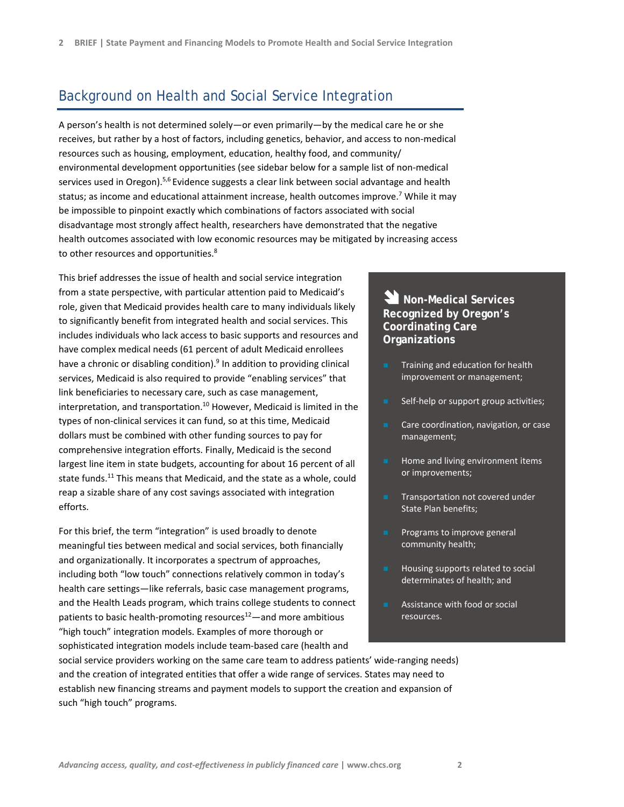# Background on Health and Social Service Integration

A person's health is not determined solely—or even primarily—by the medical care he or she receives, but rather by a host of factors, including genetics, behavior, and access to non‐medical resources such as housing, employment, education, healthy food, and community/ environmental development opportunities (see sidebar below for a sample list of non‐medical services used in Oregon).<sup>5,6</sup> Evidence suggests a clear link between social advantage and health status; as income and educational attainment increase, health outcomes improve.<sup>7</sup> While it may be impossible to pinpoint exactly which combinations of factors associated with social disadvantage most strongly affect health, researchers have demonstrated that the negative health outcomes associated with low economic resources may be mitigated by increasing access to other resources and opportunities.<sup>8</sup>

This brief addresses the issue of health and social service integration from a state perspective, with particular attention paid to Medicaid's role, given that Medicaid provides health care to many individuals likely to significantly benefit from integrated health and social services. This includes individuals who lack access to basic supports and resources and have complex medical needs (61 percent of adult Medicaid enrollees have a chronic or disabling condition).<sup>9</sup> In addition to providing clinical services, Medicaid is also required to provide "enabling services" that link beneficiaries to necessary care, such as case management, interpretation, and transportation.<sup>10</sup> However, Medicaid is limited in the types of non‐clinical services it can fund, so at this time, Medicaid dollars must be combined with other funding sources to pay for comprehensive integration efforts. Finally, Medicaid is the second largest line item in state budgets, accounting for about 16 percent of all state funds.<sup>11</sup> This means that Medicaid, and the state as a whole, could reap a sizable share of any cost savings associated with integration efforts.

For this brief, the term "integration" is used broadly to denote meaningful ties between medical and social services, both financially and organizationally. It incorporates a spectrum of approaches, including both "low touch" connections relatively common in today's health care settings—like referrals, basic case management programs, and the Health Leads program, which trains college students to connect patients to basic health-promoting resources<sup>12</sup>—and more ambitious "high touch" integration models. Examples of more thorough or sophisticated integration models include team‐based care (health and

# **Non-Medical Services Recognized by Oregon's Coordinating Care Organizations**

- Training and education for health improvement or management;
- Self-help or support group activities;
- Care coordination, navigation, or case management;
- **Home and living environment items** or improvements;
- **Transportation not covered under** State Plan benefits;
- **Programs to improve general** community health;
- **Housing supports related to social** determinates of health; and
- Assistance with food or social resources.

social service providers working on the same care team to address patients' wide-ranging needs) and the creation of integrated entities that offer a wide range of services. States may need to establish new financing streams and payment models to support the creation and expansion of such "high touch" programs.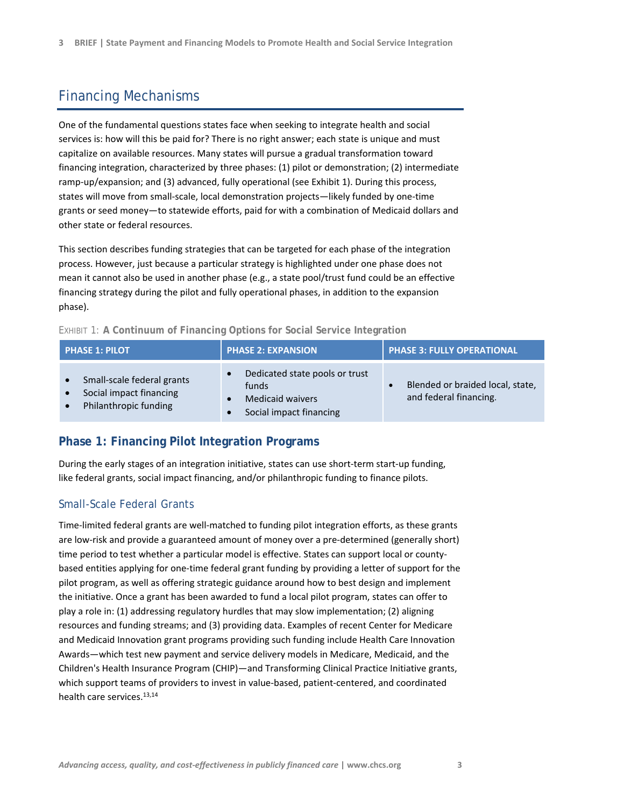# Financing Mechanisms

One of the fundamental questions states face when seeking to integrate health and social services is: how will this be paid for? There is no right answer; each state is unique and must capitalize on available resources. Many states will pursue a gradual transformation toward financing integration, characterized by three phases: (1) pilot or demonstration; (2) intermediate ramp-up/expansion; and (3) advanced, fully operational (see Exhibit 1). During this process, states will move from small‐scale, local demonstration projects—likely funded by one‐time grants or seed money—to statewide efforts, paid for with a combination of Medicaid dollars and other state or federal resources.

This section describes funding strategies that can be targeted for each phase of the integration process. However, just because a particular strategy is highlighted under one phase does not mean it cannot also be used in another phase (e.g., a state pool/trust fund could be an effective financing strategy during the pilot and fully operational phases, in addition to the expansion phase).

| <b>PHASE 1: PILOT</b>                                                          | <b>PHASE 2: EXPANSION</b>                                                                     | PHASE 3: FULLY OPERATIONAL                                              |
|--------------------------------------------------------------------------------|-----------------------------------------------------------------------------------------------|-------------------------------------------------------------------------|
| Small-scale federal grants<br>Social impact financing<br>Philanthropic funding | Dedicated state pools or trust<br>funds<br><b>Medicaid waivers</b><br>Social impact financing | Blended or braided local, state,<br>$\bullet$<br>and federal financing. |

## EXHIBIT 1: **A Continuum of Financing Options for Social Service Integration**

# **Phase 1: Financing Pilot Integration Programs**

During the early stages of an integration initiative, states can use short-term start-up funding, like federal grants, social impact financing, and/or philanthropic funding to finance pilots.

## Small-Scale Federal Grants

Time‐limited federal grants are well‐matched to funding pilot integration efforts, as these grants are low-risk and provide a guaranteed amount of money over a pre-determined (generally short) time period to test whether a particular model is effective. States can support local or county‐ based entities applying for one‐time federal grant funding by providing a letter of support for the pilot program, as well as offering strategic guidance around how to best design and implement the initiative. Once a grant has been awarded to fund a local pilot program, states can offer to play a role in: (1) addressing regulatory hurdles that may slow implementation; (2) aligning resources and funding streams; and (3) providing data. Examples of recent Center for Medicare and Medicaid Innovation grant programs providing such funding include Health Care Innovation Awards—which test new payment and service delivery models in Medicare, Medicaid, and the Children's Health Insurance Program (CHIP)—and Transforming Clinical Practice Initiative grants, which support teams of providers to invest in value‐based, patient‐centered, and coordinated health care services.<sup>13,14</sup>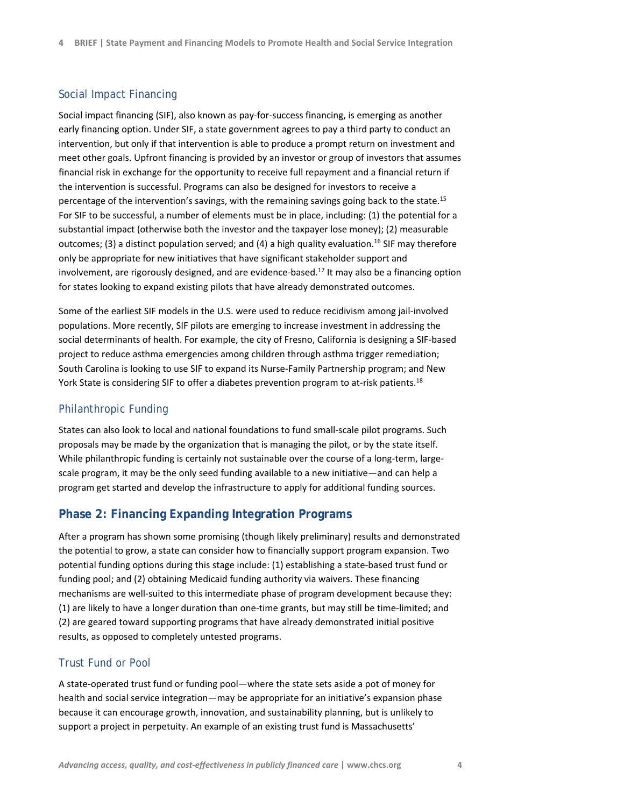## Social Impact Financing

Social impact financing (SIF), also known as pay‐for‐success financing, is emerging as another early financing option. Under SIF, a state government agrees to pay a third party to conduct an intervention, but only if that intervention is able to produce a prompt return on investment and meet other goals. Upfront financing is provided by an investor or group of investors that assumes financial risk in exchange for the opportunity to receive full repayment and a financial return if the intervention is successful. Programs can also be designed for investors to receive a percentage of the intervention's savings, with the remaining savings going back to the state.<sup>15</sup> For SIF to be successful, a number of elements must be in place, including: (1) the potential for a substantial impact (otherwise both the investor and the taxpayer lose money); (2) measurable outcomes; (3) a distinct population served; and (4) a high quality evaluation.<sup>16</sup> SIF may therefore only be appropriate for new initiatives that have significant stakeholder support and involvement, are rigorously designed, and are evidence-based.<sup>17</sup> It may also be a financing option for states looking to expand existing pilots that have already demonstrated outcomes.

Some of the earliest SIF models in the U.S. were used to reduce recidivism among jail-involved populations. More recently, SIF pilots are emerging to increase investment in addressing the social determinants of health. For example, the city of Fresno, California is designing a SIF‐based project to reduce asthma emergencies among children through asthma trigger remediation; South Carolina is looking to use SIF to expand its Nurse‐Family Partnership program; and New York State is considering SIF to offer a diabetes prevention program to at-risk patients.<sup>18</sup>

## Philanthropic Funding

States can also look to local and national foundations to fund small‐scale pilot programs. Such proposals may be made by the organization that is managing the pilot, or by the state itself. While philanthropic funding is certainly not sustainable over the course of a long-term, largescale program, it may be the only seed funding available to a new initiative—and can help a program get started and develop the infrastructure to apply for additional funding sources.

## **Phase 2: Financing Expanding Integration Programs**

After a program has shown some promising (though likely preliminary) results and demonstrated the potential to grow, a state can consider how to financially support program expansion. Two potential funding options during this stage include: (1) establishing a state‐based trust fund or funding pool; and (2) obtaining Medicaid funding authority via waivers. These financing mechanisms are well-suited to this intermediate phase of program development because they: (1) are likely to have a longer duration than one‐time grants, but may still be time‐limited; and (2) are geared toward supporting programs that have already demonstrated initial positive results, as opposed to completely untested programs.

## Trust Fund or Pool

A state‐operated trust fund or funding pool—where the state sets aside a pot of money for health and social service integration—may be appropriate for an initiative's expansion phase because it can encourage growth, innovation, and sustainability planning, but is unlikely to support a project in perpetuity. An example of an existing trust fund is Massachusetts'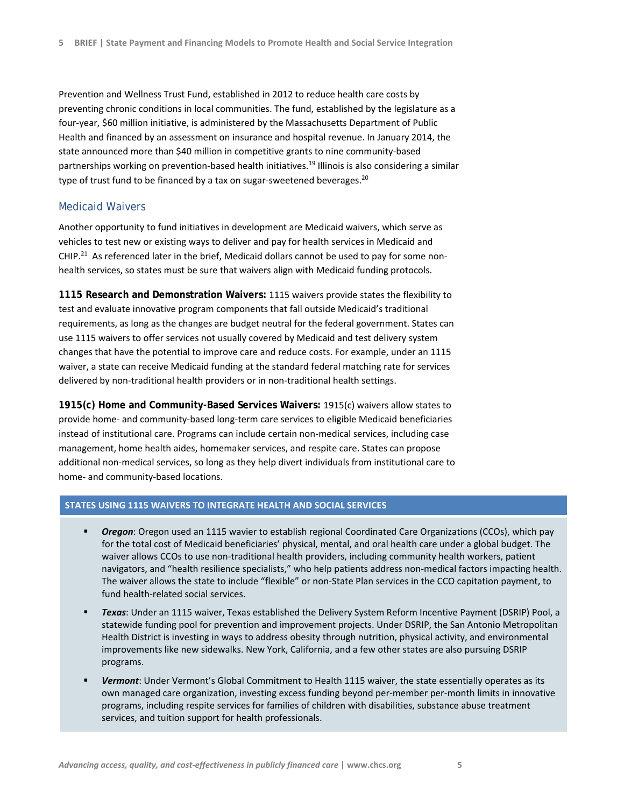Prevention and Wellness Trust Fund, established in 2012 to reduce health care costs by preventing chronic conditions in local communities. The fund, established by the legislature as a four‐year, \$60 million initiative, is administered by the Massachusetts Department of Public Health and financed by an assessment on insurance and hospital revenue. In January 2014, the state announced more than \$40 million in competitive grants to nine community-based partnerships working on prevention-based health initiatives.<sup>19</sup> Illinois is also considering a similar type of trust fund to be financed by a tax on sugar-sweetened beverages.<sup>20</sup>

## Medicaid Waivers

Another opportunity to fund initiatives in development are Medicaid waivers, which serve as vehicles to test new or existing ways to deliver and pay for health services in Medicaid and CHIP.<sup>21</sup> As referenced later in the brief, Medicaid dollars cannot be used to pay for some nonhealth services, so states must be sure that waivers align with Medicaid funding protocols.

**1115 Research and Demonstration Waivers:** 1115 waivers provide states the flexibility to test and evaluate innovative program components that fall outside Medicaid's traditional requirements, as long as the changes are budget neutral for the federal government. States can use 1115 waivers to offer services not usually covered by Medicaid and test delivery system changes that have the potential to improve care and reduce costs. For example, under an 1115 waiver, a state can receive Medicaid funding at the standard federal matching rate for services delivered by non-traditional health providers or in non-traditional health settings.

**1915(c) Home and Community-Based Services Waivers:** 1915(c) waivers allow states to provide home‐ and community‐based long‐term care services to eligible Medicaid beneficiaries instead of institutional care. Programs can include certain non-medical services, including case management, home health aides, homemaker services, and respite care. States can propose additional non‐medical services, so long as they help divert individuals from institutional care to home- and community-based locations.

## **STATES USING 1115 WAIVERS TO INTEGRATE HEALTH AND SOCIAL SERVICES**

- *Oregon*: Oregon used an 1115 wavier to establish regional Coordinated Care Organizations (CCOs), which pay for the total cost of Medicaid beneficiaries' physical, mental, and oral health care under a global budget. The waiver allows CCOs to use non-traditional health providers, including community health workers, patient navigators, and "health resilience specialists," who help patients address non‐medical factors impacting health. The waiver allows the state to include "flexible" or non‐State Plan services in the CCO capitation payment, to fund health‐related social services.
- *Texas*: Under an 1115 waiver, Texas established the Delivery System Reform Incentive Payment (DSRIP) Pool, a statewide funding pool for prevention and improvement projects. Under DSRIP, the San Antonio Metropolitan Health District is investing in ways to address obesity through nutrition, physical activity, and environmental improvements like new sidewalks. New York, California, and a few other states are also pursuing DSRIP programs.
- *Vermont*: Under Vermont's Global Commitment to Health 1115 waiver, the state essentially operates as its own managed care organization, investing excess funding beyond per‐member per‐month limits in innovative programs, including respite services for families of children with disabilities, substance abuse treatment services, and tuition support for health professionals.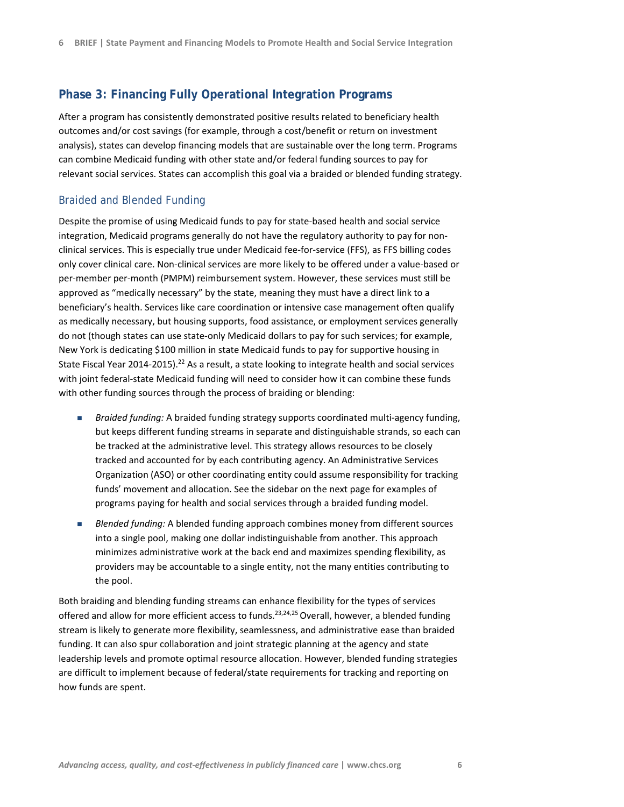## **Phase 3: Financing Fully Operational Integration Programs**

After a program has consistently demonstrated positive results related to beneficiary health outcomes and/or cost savings (for example, through a cost/benefit or return on investment analysis), states can develop financing models that are sustainable over the long term. Programs can combine Medicaid funding with other state and/or federal funding sources to pay for relevant social services. States can accomplish this goal via a braided or blended funding strategy.

## Braided and Blended Funding

Despite the promise of using Medicaid funds to pay for state‐based health and social service integration, Medicaid programs generally do not have the regulatory authority to pay for non‐ clinical services. This is especially true under Medicaid fee‐for‐service (FFS), as FFS billing codes only cover clinical care. Non‐clinical services are more likely to be offered under a value‐based or per-member per-month (PMPM) reimbursement system. However, these services must still be approved as "medically necessary" by the state, meaning they must have a direct link to a beneficiary's health. Services like care coordination or intensive case management often qualify as medically necessary, but housing supports, food assistance, or employment services generally do not (though states can use state-only Medicaid dollars to pay for such services; for example, New York is dedicating \$100 million in state Medicaid funds to pay for supportive housing in State Fiscal Year 2014-2015).<sup>22</sup> As a result, a state looking to integrate health and social services with joint federal-state Medicaid funding will need to consider how it can combine these funds with other funding sources through the process of braiding or blending:

- *Braided funding:* A braided funding strategy supports coordinated multi-agency funding, but keeps different funding streams in separate and distinguishable strands, so each can be tracked at the administrative level. This strategy allows resources to be closely tracked and accounted for by each contributing agency. An Administrative Services Organization (ASO) or other coordinating entity could assume responsibility for tracking funds' movement and allocation. See the sidebar on the next page for examples of programs paying for health and social services through a braided funding model.
- *Blended funding:* A blended funding approach combines money from different sources into a single pool, making one dollar indistinguishable from another. This approach minimizes administrative work at the back end and maximizes spending flexibility, as providers may be accountable to a single entity, not the many entities contributing to the pool.

Both braiding and blending funding streams can enhance flexibility for the types of services offered and allow for more efficient access to funds.<sup>23,24,25</sup> Overall, however, a blended funding stream is likely to generate more flexibility, seamlessness, and administrative ease than braided funding. It can also spur collaboration and joint strategic planning at the agency and state leadership levels and promote optimal resource allocation. However, blended funding strategies are difficult to implement because of federal/state requirements for tracking and reporting on how funds are spent.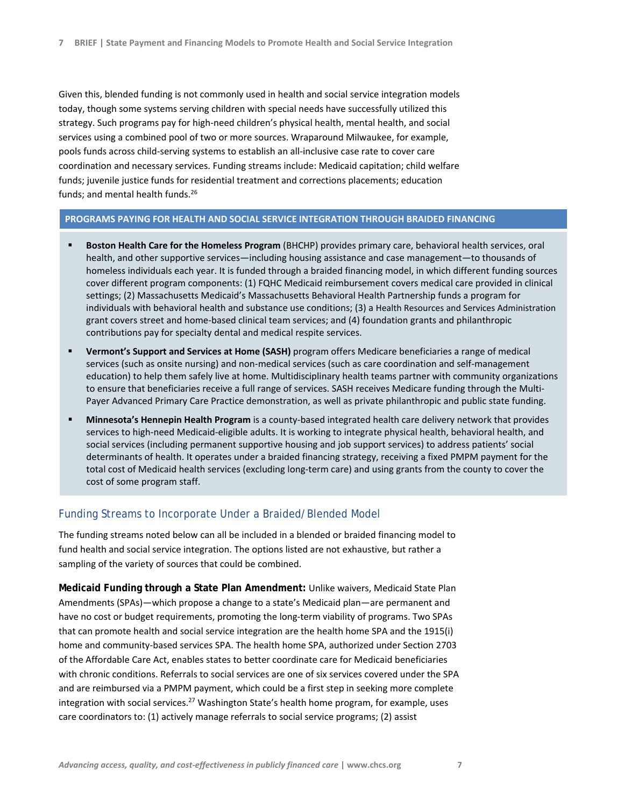Given this, blended funding is not commonly used in health and social service integration models today, though some systems serving children with special needs have successfully utilized this strategy. Such programs pay for high‐need children's physical health, mental health, and social services using a combined pool of two or more sources. Wraparound Milwaukee, for example, pools funds across child‐serving systems to establish an all‐inclusive case rate to cover care coordination and necessary services. Funding streams include: Medicaid capitation; child welfare funds; juvenile justice funds for residential treatment and corrections placements; education funds; and mental health funds.<sup>26</sup>

## **PROGRAMS PAYING FOR HEALTH AND SOCIAL SERVICE INTEGRATION THROUGH BRAIDED FINANCING**

- **Boston Health Care for the Homeless Program** (BHCHP) provides primary care, behavioral health services, oral health, and other supportive services—including housing assistance and case management—to thousands of homeless individuals each year. It is funded through a braided financing model, in which different funding sources cover different program components: (1) FQHC Medicaid reimbursement covers medical care provided in clinical settings; (2) Massachusetts Medicaid's Massachusetts Behavioral Health Partnership funds a program for individuals with behavioral health and substance use conditions; (3) a Health Resources and Services Administration grant covers street and home‐based clinical team services; and (4) foundation grants and philanthropic contributions pay for specialty dental and medical respite services.
- **Vermont's Support and Services at Home (SASH)** program offers Medicare beneficiaries a range of medical services (such as onsite nursing) and non-medical services (such as care coordination and self-management education) to help them safely live at home. Multidisciplinary health teams partner with community organizations to ensure that beneficiaries receive a full range of services. SASH receives Medicare funding through the Multi-Payer Advanced Primary Care Practice demonstration, as well as private philanthropic and public state funding.
- **Minnesota's Hennepin Health Program** is a county‐based integrated health care delivery network that provides services to high-need Medicaid-eligible adults. It is working to integrate physical health, behavioral health, and social services (including permanent supportive housing and job support services) to address patients' social determinants of health. It operates under a braided financing strategy, receiving a fixed PMPM payment for the total cost of Medicaid health services (excluding long‐term care) and using grants from the county to cover the cost of some program staff.

#### Funding Streams to Incorporate Under a Braided/Blended Model

The funding streams noted below can all be included in a blended or braided financing model to fund health and social service integration. The options listed are not exhaustive, but rather a sampling of the variety of sources that could be combined.

**Medicaid Funding through a State Plan Amendment:** Unlike waivers, Medicaid State Plan Amendments (SPAs)—which propose a change to a state's Medicaid plan—are permanent and have no cost or budget requirements, promoting the long-term viability of programs. Two SPAs that can promote health and social service integration are the health home SPA and the 1915(i) home and community‐based services SPA. The health home SPA, authorized under Section 2703 of the Affordable Care Act, enables states to better coordinate care for Medicaid beneficiaries with chronic conditions. Referrals to social services are one of six services covered under the SPA and are reimbursed via a PMPM payment, which could be a first step in seeking more complete integration with social services.<sup>27</sup> Washington State's health home program, for example, uses care coordinators to: (1) actively manage referrals to social service programs; (2) assist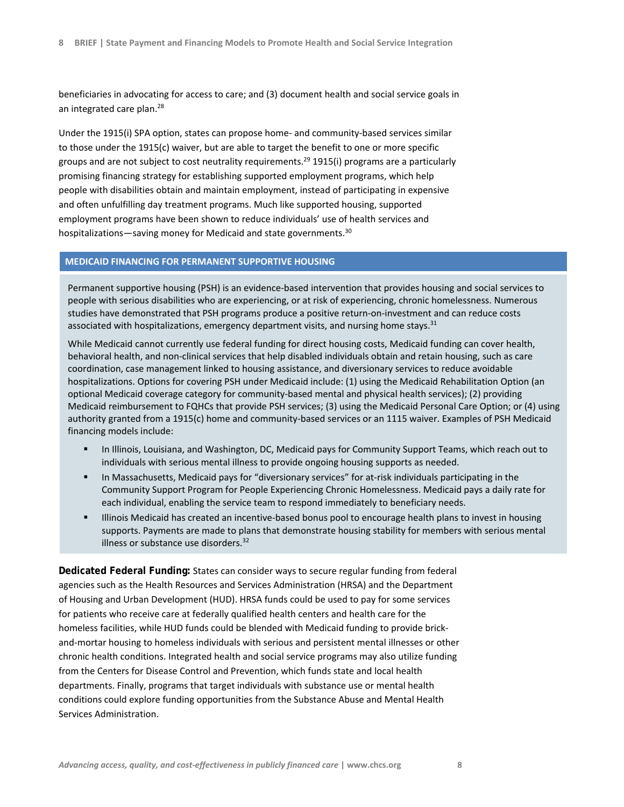beneficiaries in advocating for access to care; and (3) document health and social service goals in an integrated care plan.<sup>28</sup>

Under the 1915(i) SPA option, states can propose home‐ and community‐based services similar to those under the 1915(c) waiver, but are able to target the benefit to one or more specific groups and are not subject to cost neutrality requirements.<sup>29</sup> 1915(i) programs are a particularly promising financing strategy for establishing supported employment programs, which help people with disabilities obtain and maintain employment, instead of participating in expensive and often unfulfilling day treatment programs. Much like supported housing, supported employment programs have been shown to reduce individuals' use of health services and hospitalizations—saving money for Medicaid and state governments.<sup>30</sup>

#### **MEDICAID FINANCING FOR PERMANENT SUPPORTIVE HOUSING**

Permanent supportive housing (PSH) is an evidence‐based intervention that provides housing and social services to people with serious disabilities who are experiencing, or at risk of experiencing, chronic homelessness. Numerous studies have demonstrated that PSH programs produce a positive return-on-investment and can reduce costs associated with hospitalizations, emergency department visits, and nursing home stays.<sup>31</sup>

While Medicaid cannot currently use federal funding for direct housing costs, Medicaid funding can cover health, behavioral health, and non‐clinical services that help disabled individuals obtain and retain housing, such as care coordination, case management linked to housing assistance, and diversionary services to reduce avoidable hospitalizations. Options for covering PSH under Medicaid include: (1) using the Medicaid Rehabilitation Option (an optional Medicaid coverage category for community‐based mental and physical health services); (2) providing Medicaid reimbursement to FQHCs that provide PSH services; (3) using the Medicaid Personal Care Option; or (4) using authority granted from a 1915(c) home and community‐based services or an 1115 waiver. Examples of PSH Medicaid financing models include:

- In Illinois, Louisiana, and Washington, DC, Medicaid pays for Community Support Teams, which reach out to individuals with serious mental illness to provide ongoing housing supports as needed.
- In Massachusetts, Medicaid pays for "diversionary services" for at-risk individuals participating in the Community Support Program for People Experiencing Chronic Homelessness. Medicaid pays a daily rate for each individual, enabling the service team to respond immediately to beneficiary needs.
- Illinois Medicaid has created an incentive‐based bonus pool to encourage health plans to invest in housing supports. Payments are made to plans that demonstrate housing stability for members with serious mental illness or substance use disorders.<sup>32</sup>

**Dedicated Federal Funding:** States can consider ways to secure regular funding from federal agencies such as the Health Resources and Services Administration (HRSA) and the Department of Housing and Urban Development (HUD). HRSA funds could be used to pay for some services for patients who receive care at federally qualified health centers and health care for the homeless facilities, while HUD funds could be blended with Medicaid funding to provide brick‐ and‐mortar housing to homeless individuals with serious and persistent mental illnesses or other chronic health conditions. Integrated health and social service programs may also utilize funding from the Centers for Disease Control and Prevention, which funds state and local health departments. Finally, programs that target individuals with substance use or mental health conditions could explore funding opportunities from the Substance Abuse and Mental Health Services Administration.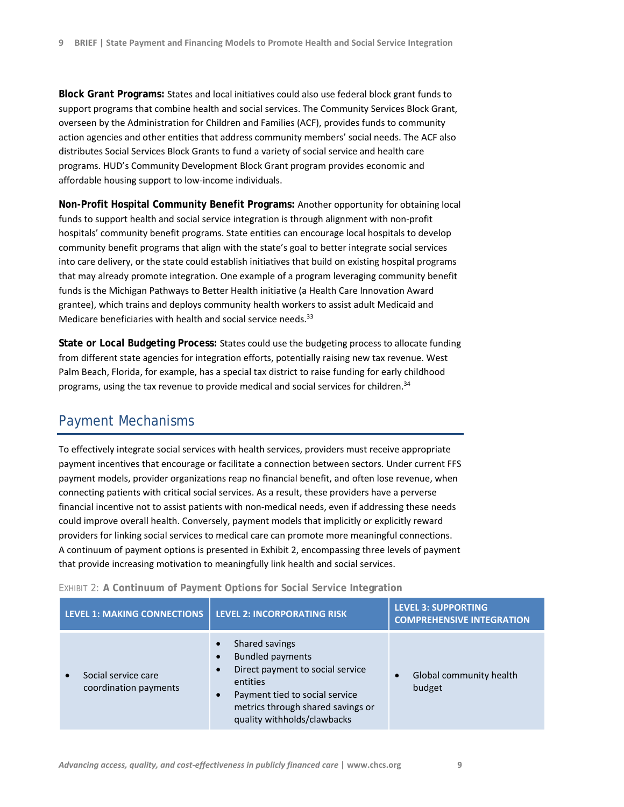**Block Grant Programs:** States and local initiatives could also use federal block grant funds to support programs that combine health and social services. The Community Services Block Grant, overseen by the Administration for Children and Families (ACF), provides funds to community action agencies and other entities that address community members' social needs. The ACF also distributes Social Services Block Grants to fund a variety of social service and health care programs. HUD's Community Development Block Grant program provides economic and affordable housing support to low‐income individuals.

**Non-Profit Hospital Community Benefit Programs:** Another opportunity for obtaining local funds to support health and social service integration is through alignment with non-profit hospitals' community benefit programs. State entities can encourage local hospitals to develop community benefit programs that align with the state's goal to better integrate social services into care delivery, or the state could establish initiatives that build on existing hospital programs that may already promote integration. One example of a program leveraging community benefit funds is the Michigan Pathways to Better Health initiative (a Health Care Innovation Award grantee), which trains and deploys community health workers to assist adult Medicaid and Medicare beneficiaries with health and social service needs.<sup>33</sup>

**State or Local Budgeting Process:** States could use the budgeting process to allocate funding from different state agencies for integration efforts, potentially raising new tax revenue. West Palm Beach, Florida, for example, has a special tax district to raise funding for early childhood programs, using the tax revenue to provide medical and social services for children.<sup>34</sup>

# Payment Mechanisms

To effectively integrate social services with health services, providers must receive appropriate payment incentives that encourage or facilitate a connection between sectors. Under current FFS payment models, provider organizations reap no financial benefit, and often lose revenue, when connecting patients with critical social services. As a result, these providers have a perverse financial incentive not to assist patients with non-medical needs, even if addressing these needs could improve overall health. Conversely, payment models that implicitly or explicitly reward providers for linking social services to medical care can promote more meaningful connections. A continuum of payment options is presented in Exhibit 2, encompassing three levels of payment that provide increasing motivation to meaningfully link health and social services.

| EXHIBIT 2: A Continuum of Payment Options for Social Service Integration |  |
|--------------------------------------------------------------------------|--|
|--------------------------------------------------------------------------|--|

| <b>LEVEL 1: MAKING CONNECTIONS</b>           | <b>LEVEL 2: INCORPORATING RISK</b>                                                                                                                                                                                                                  | <b>LEVEL 3: SUPPORTING</b><br><b>COMPREHENSIVE INTEGRATION</b> |
|----------------------------------------------|-----------------------------------------------------------------------------------------------------------------------------------------------------------------------------------------------------------------------------------------------------|----------------------------------------------------------------|
| Social service care<br>coordination payments | Shared savings<br>$\bullet$<br><b>Bundled payments</b><br>$\bullet$<br>Direct payment to social service<br>$\bullet$<br>entities<br>Payment tied to social service<br>$\bullet$<br>metrics through shared savings or<br>quality withholds/clawbacks | Global community health<br>budget                              |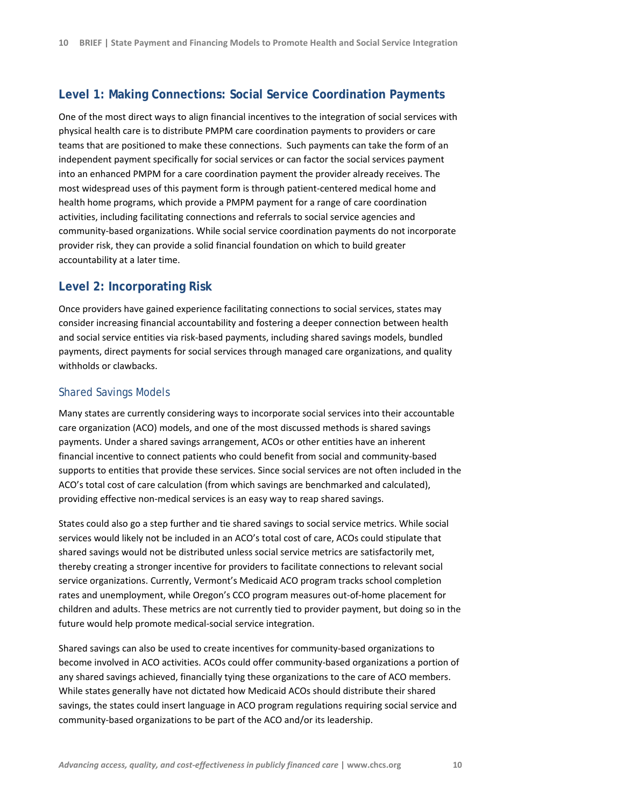# **Level 1: Making Connections: Social Service Coordination Payments**

One of the most direct ways to align financial incentives to the integration of social services with physical health care is to distribute PMPM care coordination payments to providers or care teams that are positioned to make these connections. Such payments can take the form of an independent payment specifically for social services or can factor the social services payment into an enhanced PMPM for a care coordination payment the provider already receives. The most widespread uses of this payment form is through patient‐centered medical home and health home programs, which provide a PMPM payment for a range of care coordination activities, including facilitating connections and referrals to social service agencies and community‐based organizations. While social service coordination payments do not incorporate provider risk, they can provide a solid financial foundation on which to build greater accountability at a later time.

## **Level 2: Incorporating Risk**

Once providers have gained experience facilitating connections to social services, states may consider increasing financial accountability and fostering a deeper connection between health and social service entities via risk‐based payments, including shared savings models, bundled payments, direct payments for social services through managed care organizations, and quality withholds or clawbacks.

## Shared Savings Models

Many states are currently considering ways to incorporate social services into their accountable care organization (ACO) models, and one of the most discussed methods is shared savings payments. Under a shared savings arrangement, ACOs or other entities have an inherent financial incentive to connect patients who could benefit from social and community-based supports to entities that provide these services. Since social services are not often included in the ACO's total cost of care calculation (from which savings are benchmarked and calculated), providing effective non‐medical services is an easy way to reap shared savings.

States could also go a step further and tie shared savings to social service metrics. While social services would likely not be included in an ACO's total cost of care, ACOs could stipulate that shared savings would not be distributed unless social service metrics are satisfactorily met, thereby creating a stronger incentive for providers to facilitate connections to relevant social service organizations. Currently, Vermont's Medicaid ACO program tracks school completion rates and unemployment, while Oregon's CCO program measures out‐of‐home placement for children and adults. These metrics are not currently tied to provider payment, but doing so in the future would help promote medical‐social service integration.

Shared savings can also be used to create incentives for community‐based organizations to become involved in ACO activities. ACOs could offer community-based organizations a portion of any shared savings achieved, financially tying these organizations to the care of ACO members. While states generally have not dictated how Medicaid ACOs should distribute their shared savings, the states could insert language in ACO program regulations requiring social service and community‐based organizations to be part of the ACO and/or its leadership.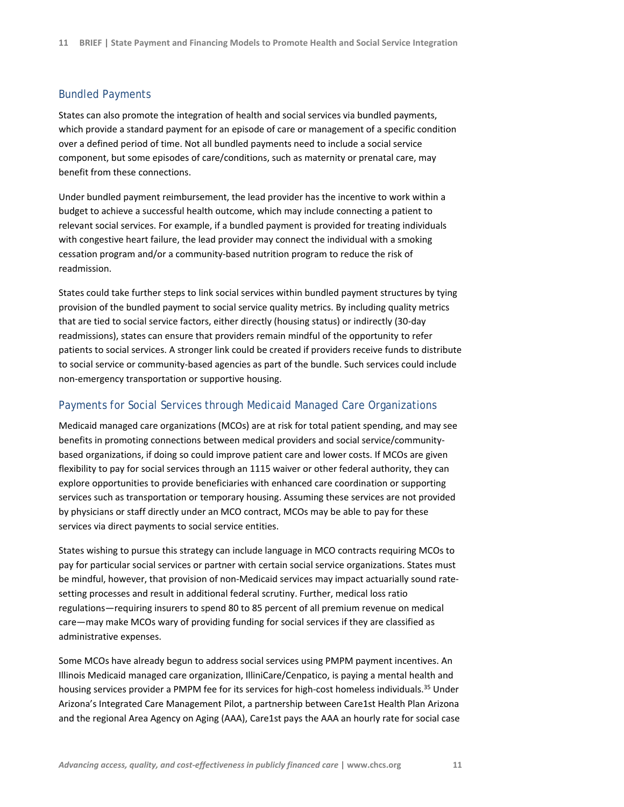#### Bundled Payments

States can also promote the integration of health and social services via bundled payments, which provide a standard payment for an episode of care or management of a specific condition over a defined period of time. Not all bundled payments need to include a social service component, but some episodes of care/conditions, such as maternity or prenatal care, may benefit from these connections.

Under bundled payment reimbursement, the lead provider has the incentive to work within a budget to achieve a successful health outcome, which may include connecting a patient to relevant social services. For example, if a bundled payment is provided for treating individuals with congestive heart failure, the lead provider may connect the individual with a smoking cessation program and/or a community‐based nutrition program to reduce the risk of readmission.

States could take further steps to link social services within bundled payment structures by tying provision of the bundled payment to social service quality metrics. By including quality metrics that are tied to social service factors, either directly (housing status) or indirectly (30‐day readmissions), states can ensure that providers remain mindful of the opportunity to refer patients to social services. A stronger link could be created if providers receive funds to distribute to social service or community-based agencies as part of the bundle. Such services could include non‐emergency transportation or supportive housing.

### Payments for Social Services through Medicaid Managed Care Organizations

Medicaid managed care organizations (MCOs) are at risk for total patient spending, and may see benefits in promoting connections between medical providers and social service/community‐ based organizations, if doing so could improve patient care and lower costs. If MCOs are given flexibility to pay for social services through an 1115 waiver or other federal authority, they can explore opportunities to provide beneficiaries with enhanced care coordination or supporting services such as transportation or temporary housing. Assuming these services are not provided by physicians or staff directly under an MCO contract, MCOs may be able to pay for these services via direct payments to social service entities.

States wishing to pursue this strategy can include language in MCO contracts requiring MCOs to pay for particular social services or partner with certain social service organizations. States must be mindful, however, that provision of non-Medicaid services may impact actuarially sound ratesetting processes and result in additional federal scrutiny. Further, medical loss ratio regulations—requiring insurers to spend 80 to 85 percent of all premium revenue on medical care—may make MCOs wary of providing funding for social services if they are classified as administrative expenses.

Some MCOs have already begun to address social services using PMPM payment incentives. An Illinois Medicaid managed care organization, IlliniCare/Cenpatico, is paying a mental health and housing services provider a PMPM fee for its services for high-cost homeless individuals.<sup>35</sup> Under Arizona's Integrated Care Management Pilot, a partnership between Care1st Health Plan Arizona and the regional Area Agency on Aging (AAA), Care1st pays the AAA an hourly rate for social case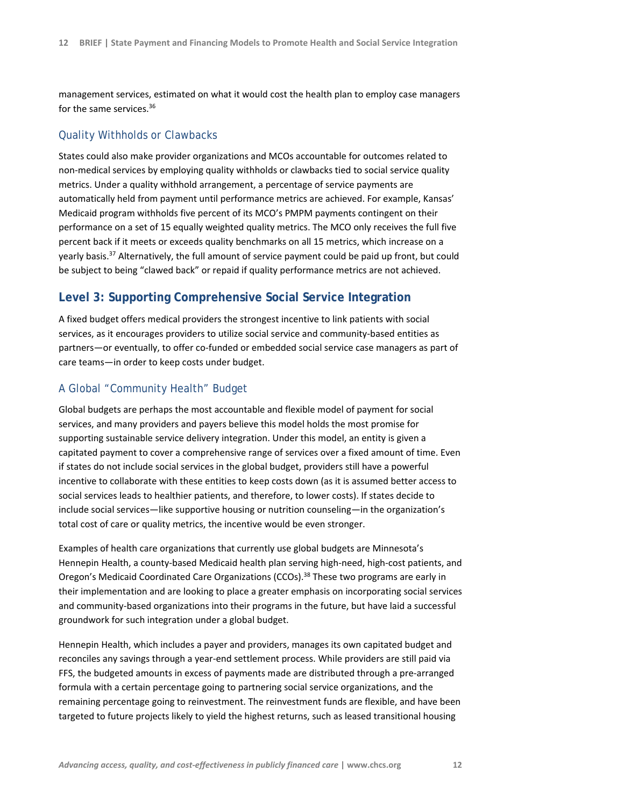management services, estimated on what it would cost the health plan to employ case managers for the same services.<sup>36</sup>

## Quality Withholds or Clawbacks

States could also make provider organizations and MCOs accountable for outcomes related to non‐medical services by employing quality withholds or clawbacks tied to social service quality metrics. Under a quality withhold arrangement, a percentage of service payments are automatically held from payment until performance metrics are achieved. For example, Kansas' Medicaid program withholds five percent of its MCO's PMPM payments contingent on their performance on a set of 15 equally weighted quality metrics. The MCO only receives the full five percent back if it meets or exceeds quality benchmarks on all 15 metrics, which increase on a yearly basis.<sup>37</sup> Alternatively, the full amount of service payment could be paid up front, but could be subject to being "clawed back" or repaid if quality performance metrics are not achieved.

# **Level 3: Supporting Comprehensive Social Service Integration**

A fixed budget offers medical providers the strongest incentive to link patients with social services, as it encourages providers to utilize social service and community-based entities as partners—or eventually, to offer co-funded or embedded social service case managers as part of care teams—in order to keep costs under budget.

## A Global "Community Health" Budget

Global budgets are perhaps the most accountable and flexible model of payment for social services, and many providers and payers believe this model holds the most promise for supporting sustainable service delivery integration. Under this model, an entity is given a capitated payment to cover a comprehensive range of services over a fixed amount of time. Even if states do not include social services in the global budget, providers still have a powerful incentive to collaborate with these entities to keep costs down (as it is assumed better access to social services leads to healthier patients, and therefore, to lower costs). If states decide to include social services—like supportive housing or nutrition counseling—in the organization's total cost of care or quality metrics, the incentive would be even stronger.

Examples of health care organizations that currently use global budgets are Minnesota's Hennepin Health, a county‐based Medicaid health plan serving high‐need, high‐cost patients, and Oregon's Medicaid Coordinated Care Organizations (CCOs).<sup>38</sup> These two programs are early in their implementation and are looking to place a greater emphasis on incorporating social services and community-based organizations into their programs in the future, but have laid a successful groundwork for such integration under a global budget.

Hennepin Health, which includes a payer and providers, manages its own capitated budget and reconciles any savings through a year‐end settlement process. While providers are still paid via FFS, the budgeted amounts in excess of payments made are distributed through a pre-arranged formula with a certain percentage going to partnering social service organizations, and the remaining percentage going to reinvestment. The reinvestment funds are flexible, and have been targeted to future projects likely to yield the highest returns, such as leased transitional housing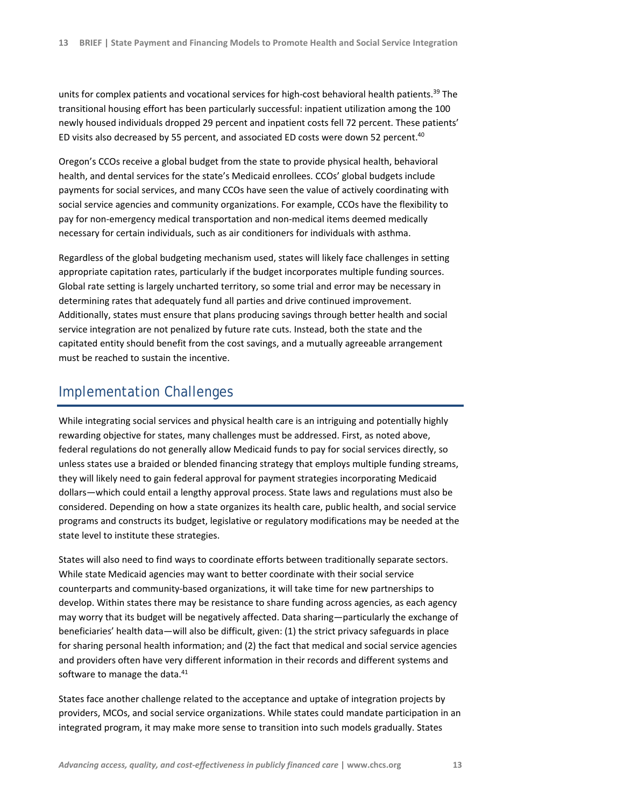units for complex patients and vocational services for high-cost behavioral health patients.<sup>39</sup> The transitional housing effort has been particularly successful: inpatient utilization among the 100 newly housed individuals dropped 29 percent and inpatient costs fell 72 percent. These patients' ED visits also decreased by 55 percent, and associated ED costs were down 52 percent.<sup>40</sup>

Oregon's CCOs receive a global budget from the state to provide physical health, behavioral health, and dental services for the state's Medicaid enrollees. CCOs' global budgets include payments for social services, and many CCOs have seen the value of actively coordinating with social service agencies and community organizations. For example, CCOs have the flexibility to pay for non-emergency medical transportation and non-medical items deemed medically necessary for certain individuals, such as air conditioners for individuals with asthma.

Regardless of the global budgeting mechanism used, states will likely face challenges in setting appropriate capitation rates, particularly if the budget incorporates multiple funding sources. Global rate setting is largely uncharted territory, so some trial and error may be necessary in determining rates that adequately fund all parties and drive continued improvement. Additionally, states must ensure that plans producing savings through better health and social service integration are not penalized by future rate cuts. Instead, both the state and the capitated entity should benefit from the cost savings, and a mutually agreeable arrangement must be reached to sustain the incentive.

# Implementation Challenges

While integrating social services and physical health care is an intriguing and potentially highly rewarding objective for states, many challenges must be addressed. First, as noted above, federal regulations do not generally allow Medicaid funds to pay for social services directly, so unless states use a braided or blended financing strategy that employs multiple funding streams, they will likely need to gain federal approval for payment strategies incorporating Medicaid dollars—which could entail a lengthy approval process. State laws and regulations must also be considered. Depending on how a state organizes its health care, public health, and social service programs and constructs its budget, legislative or regulatory modifications may be needed at the state level to institute these strategies.

States will also need to find ways to coordinate efforts between traditionally separate sectors. While state Medicaid agencies may want to better coordinate with their social service counterparts and community‐based organizations, it will take time for new partnerships to develop. Within states there may be resistance to share funding across agencies, as each agency may worry that its budget will be negatively affected. Data sharing—particularly the exchange of beneficiaries' health data—will also be difficult, given: (1) the strict privacy safeguards in place for sharing personal health information; and (2) the fact that medical and social service agencies and providers often have very different information in their records and different systems and software to manage the data.<sup>41</sup>

States face another challenge related to the acceptance and uptake of integration projects by providers, MCOs, and social service organizations. While states could mandate participation in an integrated program, it may make more sense to transition into such models gradually. States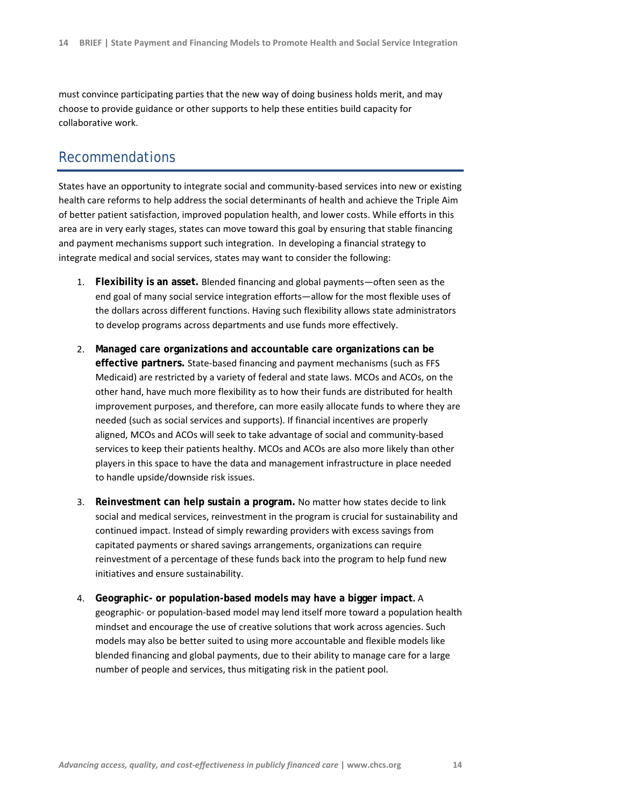must convince participating parties that the new way of doing business holds merit, and may choose to provide guidance or other supports to help these entities build capacity for collaborative work.

# Recommendations

States have an opportunity to integrate social and community‐based services into new or existing health care reforms to help address the social determinants of health and achieve the Triple Aim of better patient satisfaction, improved population health, and lower costs. While efforts in this area are in very early stages, states can move toward this goal by ensuring that stable financing and payment mechanisms support such integration. In developing a financial strategy to integrate medical and social services, states may want to consider the following:

- 1. **Flexibility is an asset.** Blended financing and global payments—often seen as the end goal of many social service integration efforts—allow for the most flexible uses of the dollars across different functions. Having such flexibility allows state administrators to develop programs across departments and use funds more effectively.
- 2. **Managed care organizations and accountable care organizations can be effective partners.** State‐based financing and payment mechanisms (such as FFS Medicaid) are restricted by a variety of federal and state laws. MCOs and ACOs, on the other hand, have much more flexibility as to how their funds are distributed for health improvement purposes, and therefore, can more easily allocate funds to where they are needed (such as social services and supports). If financial incentives are properly aligned, MCOs and ACOs will seek to take advantage of social and community‐based services to keep their patients healthy. MCOs and ACOs are also more likely than other players in this space to have the data and management infrastructure in place needed to handle upside/downside risk issues.
- 3. **Reinvestment can help sustain a program.** No matter how states decide to link social and medical services, reinvestment in the program is crucial for sustainability and continued impact. Instead of simply rewarding providers with excess savings from capitated payments or shared savings arrangements, organizations can require reinvestment of a percentage of these funds back into the program to help fund new initiatives and ensure sustainability.
- 4. **Geographic- or population-based models may have a bigger impact.** A geographic‐ or population‐based model may lend itself more toward a population health mindset and encourage the use of creative solutions that work across agencies. Such models may also be better suited to using more accountable and flexible models like blended financing and global payments, due to their ability to manage care for a large number of people and services, thus mitigating risk in the patient pool.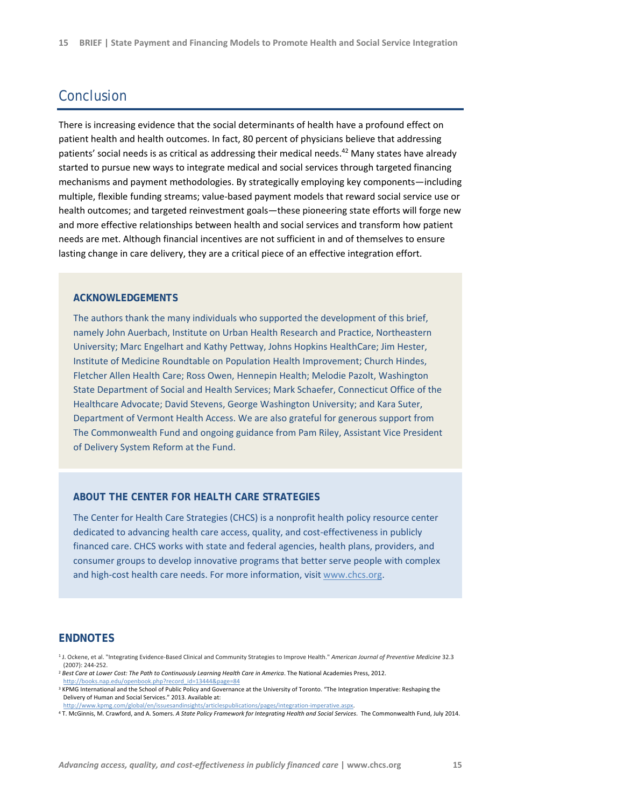# Conclusion

There is increasing evidence that the social determinants of health have a profound effect on patient health and health outcomes. In fact, 80 percent of physicians believe that addressing patients' social needs is as critical as addressing their medical needs.42 Many states have already started to pursue new ways to integrate medical and social services through targeted financing mechanisms and payment methodologies. By strategically employing key components—including multiple, flexible funding streams; value‐based payment models that reward social service use or health outcomes; and targeted reinvestment goals—these pioneering state efforts will forge new and more effective relationships between health and social services and transform how patient needs are met. Although financial incentives are not sufficient in and of themselves to ensure lasting change in care delivery, they are a critical piece of an effective integration effort.

#### **ACKNOWLEDGEMENTS**

The authors thank the many individuals who supported the development of this brief, namely John Auerbach, Institute on Urban Health Research and Practice, Northeastern University; Marc Engelhart and Kathy Pettway, Johns Hopkins HealthCare; Jim Hester, Institute of Medicine Roundtable on Population Health Improvement; Church Hindes, Fletcher Allen Health Care; Ross Owen, Hennepin Health; Melodie Pazolt, Washington State Department of Social and Health Services; Mark Schaefer, Connecticut Office of the Healthcare Advocate; David Stevens, George Washington University; and Kara Suter, Department of Vermont Health Access. We are also grateful for generous support from The Commonwealth Fund and ongoing guidance from Pam Riley, Assistant Vice President of Delivery System Reform at the Fund.

#### **ABOUT THE CENTER FOR HEALTH CARE STRATEGIES**

The Center for Health Care Strategies (CHCS) is a nonprofit health policy resource center dedicated to advancing health care access, quality, and cost-effectiveness in publicly financed care. CHCS works with state and federal agencies, health plans, providers, and consumer groups to develop innovative programs that better serve people with complex and high-cost health care needs. For more information, visit www.chcs.org.

#### **ENDNOTES**

<sup>1</sup> J. Ockene, et al. "Integrating Evidence‐Based Clinical and Community Strategies to Improve Health." *American Journal of Preventive Medicine* 32.3 (2007): 244‐252.

<sup>2</sup> *Best Care at Lower Cost: The Path to Continuously Learning Health Care in America*. The National Academies Press, 2012. http://books.nap.edu/openbook.php?record\_id=13444&page=84

<sup>&</sup>lt;sup>3</sup> KPMG International and the School of Public Policy and Governance at the University of Toronto. "The Integration Imperative: Reshaping the Delivery of Human and Social Services." 2013. Available at:

http://www.kpmg.com/global/en/issuesandinsights/articlespublications/pages/integration‐imperative.aspx. <sup>4</sup> T. McGinnis, M. Crawford, and A. Somers. *A State Policy Framework for Integrating Health and Social Services*. The Commonwealth Fund, July 2014.